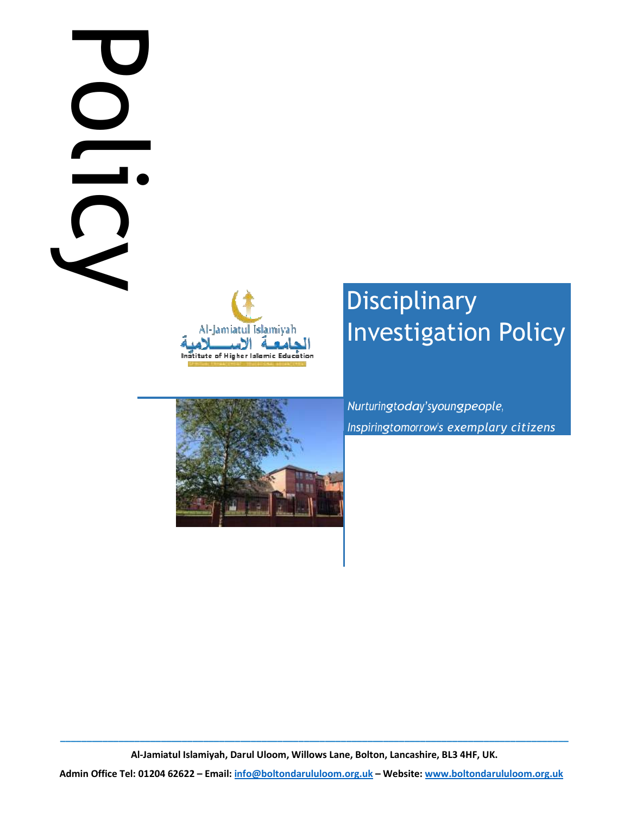# Policy is DC



# **Disciplinary** Investigation Policy

Nurturingtoday'syoungpeople, Inspiringtomorrow's exemplary citizens

\_\_\_\_\_\_\_\_\_\_\_\_\_\_\_\_\_\_\_\_\_\_\_\_\_\_\_\_\_\_\_\_\_\_\_\_\_\_\_\_\_\_\_\_\_\_\_\_\_\_\_\_\_\_\_\_\_\_\_\_\_\_\_\_\_\_\_\_\_\_\_\_\_\_\_\_\_\_\_\_\_\_\_\_\_\_\_\_\_\_\_\_\_\_\_\_ Al-Jamiatul Islamiyah, Darul Uloom, Willows Lane, Bolton, Lancashire, BL3 4HF, UK.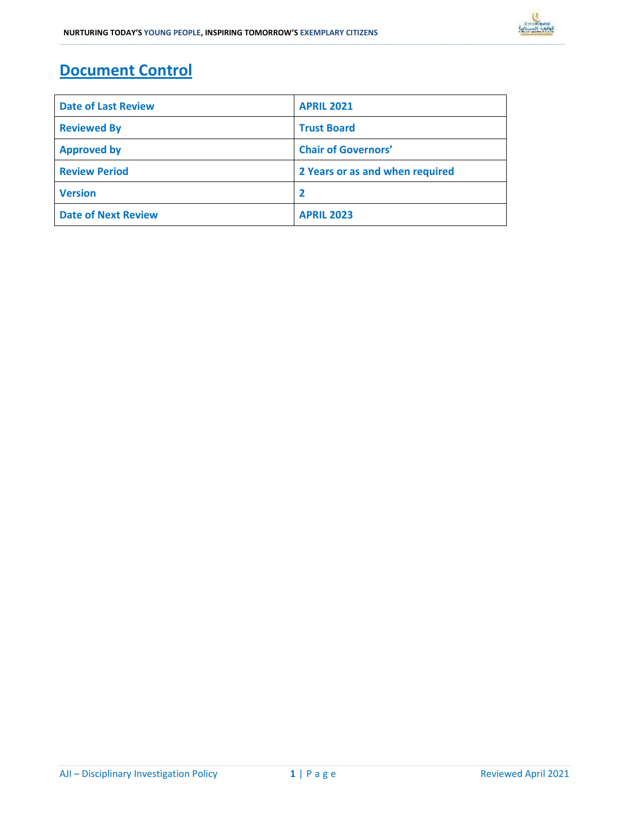# Document Control

| <b>Date of Last Review</b> | <b>APRIL 2021</b>               |
|----------------------------|---------------------------------|
| <b>Reviewed By</b>         | <b>Trust Board</b>              |
| <b>Approved by</b>         | <b>Chair of Governors'</b>      |
| <b>Review Period</b>       | 2 Years or as and when required |
| <b>Version</b>             | $\overline{\mathbf{2}}$         |
| <b>Date of Next Review</b> | <b>APRIL 2023</b>               |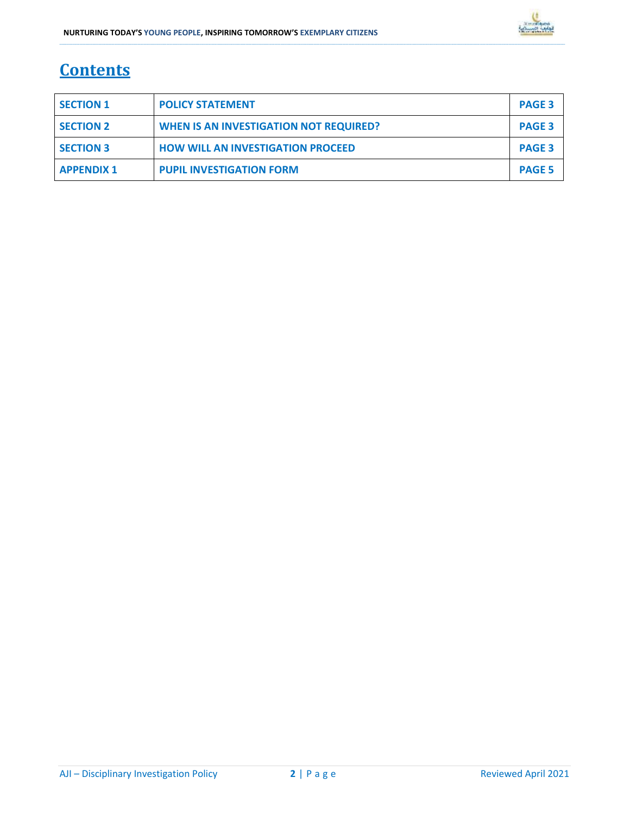# **Contents**

| <b>SECTION 1</b>  | <b>POLICY STATEMENT</b>                       | <b>PAGE 3</b> |
|-------------------|-----------------------------------------------|---------------|
| <b>SECTION 2</b>  | <b>WHEN IS AN INVESTIGATION NOT REQUIRED?</b> | <b>PAGE 3</b> |
| <b>SECTION 3</b>  | <b>HOW WILL AN INVESTIGATION PROCEED</b>      | <b>PAGE 3</b> |
| <b>APPENDIX 1</b> | <b>PUPIL INVESTIGATION FORM</b>               | <b>PAGE 5</b> |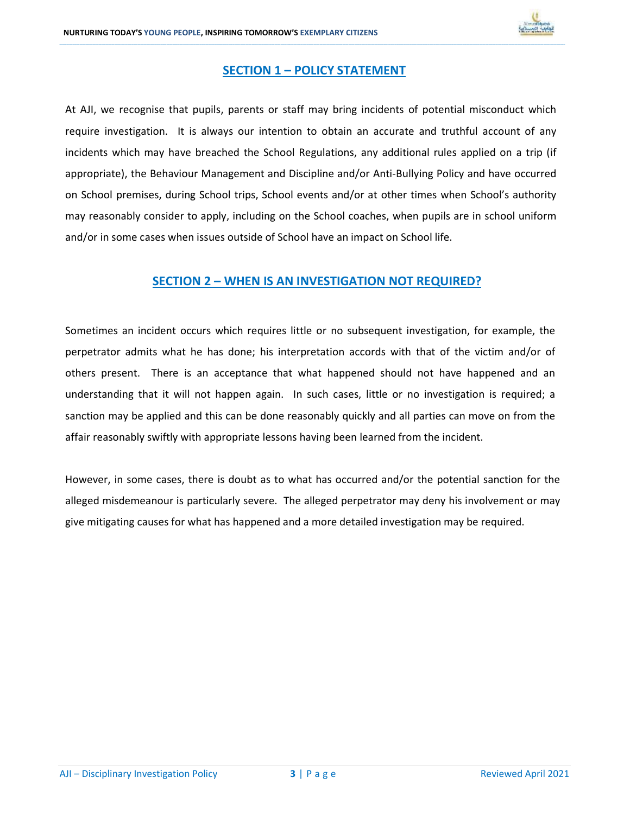

## SECTION 1 – POLICY STATEMENT

\_\_\_\_\_\_\_\_\_\_\_\_\_\_\_\_\_\_\_\_\_\_\_\_\_\_\_\_\_\_\_\_\_\_\_\_\_\_\_\_\_\_\_\_\_\_\_\_\_\_\_\_\_\_\_\_\_\_\_\_\_\_\_\_\_\_\_\_\_\_\_\_\_\_\_\_\_\_\_\_\_\_\_\_\_\_\_\_\_\_\_\_\_\_\_\_\_\_\_\_\_\_\_\_\_\_\_\_\_\_\_\_\_\_\_\_\_\_\_\_\_\_\_\_\_\_\_\_\_\_\_\_\_\_\_\_\_\_\_\_\_\_\_\_\_\_\_\_\_\_\_\_\_\_\_\_\_\_\_\_\_\_\_\_\_\_\_\_\_\_\_\_\_\_\_\_\_\_\_\_\_\_\_\_\_\_\_\_\_\_\_\_\_\_\_\_\_\_\_\_\_\_\_\_\_\_\_\_\_\_\_\_\_\_\_\_\_\_\_\_\_\_\_\_\_\_\_\_\_\_\_\_\_\_\_\_\_\_\_\_\_\_\_\_\_\_\_\_\_\_\_\_\_\_\_\_\_\_\_\_\_\_\_\_\_\_\_\_\_\_\_\_\_\_\_\_\_\_\_\_\_\_\_\_\_\_\_\_\_\_\_\_\_\_\_\_\_\_\_\_\_\_\_\_\_\_\_\_\_\_\_\_\_\_\_\_\_\_\_\_\_\_\_\_\_\_\_\_\_\_\_\_\_\_\_\_\_\_\_\_\_\_\_\_\_\_\_\_\_\_

At AJI, we recognise that pupils, parents or staff may bring incidents of potential misconduct which require investigation. It is always our intention to obtain an accurate and truthful account of any incidents which may have breached the School Regulations, any additional rules applied on a trip (if appropriate), the Behaviour Management and Discipline and/or Anti-Bullying Policy and have occurred on School premises, during School trips, School events and/or at other times when School's authority may reasonably consider to apply, including on the School coaches, when pupils are in school uniform and/or in some cases when issues outside of School have an impact on School life.

### SECTION 2 – WHEN IS AN INVESTIGATION NOT REQUIRED?

Sometimes an incident occurs which requires little or no subsequent investigation, for example, the perpetrator admits what he has done; his interpretation accords with that of the victim and/or of others present. There is an acceptance that what happened should not have happened and an understanding that it will not happen again. In such cases, little or no investigation is required; a sanction may be applied and this can be done reasonably quickly and all parties can move on from the affair reasonably swiftly with appropriate lessons having been learned from the incident.

However, in some cases, there is doubt as to what has occurred and/or the potential sanction for the alleged misdemeanour is particularly severe. The alleged perpetrator may deny his involvement or may give mitigating causes for what has happened and a more detailed investigation may be required.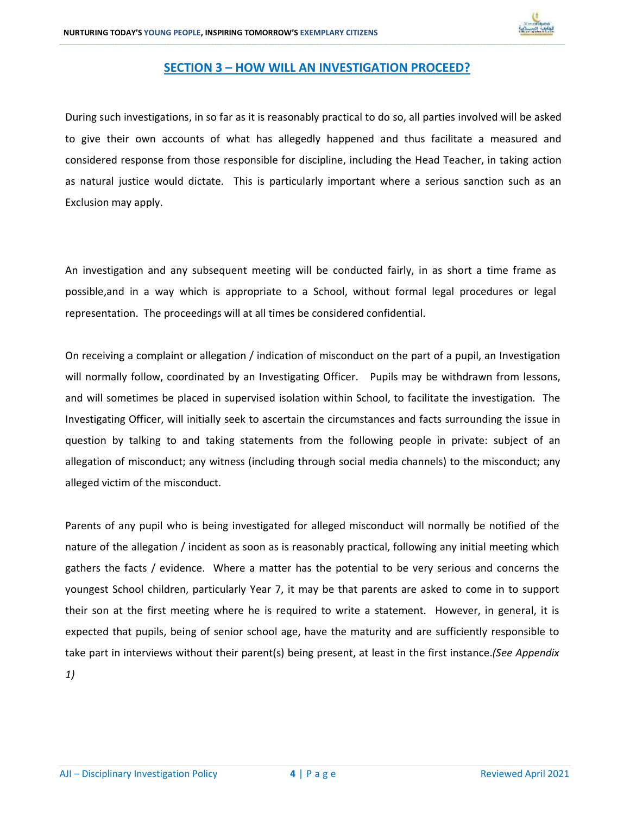

## SECTION 3 – HOW WILL AN INVESTIGATION PROCEED?

\_\_\_\_\_\_\_\_\_\_\_\_\_\_\_\_\_\_\_\_\_\_\_\_\_\_\_\_\_\_\_\_\_\_\_\_\_\_\_\_\_\_\_\_\_\_\_\_\_\_\_\_\_\_\_\_\_\_\_\_\_\_\_\_\_\_\_\_\_\_\_\_\_\_\_\_\_\_\_\_\_\_\_\_\_\_\_\_\_\_\_\_\_\_\_\_\_\_\_\_\_\_\_\_\_\_\_\_\_\_\_\_\_\_\_\_\_\_\_\_\_\_\_\_\_\_\_\_\_\_\_\_\_\_\_\_\_\_\_\_\_\_\_\_\_\_\_\_\_\_\_\_\_\_\_\_\_\_\_\_\_\_\_\_\_\_\_\_\_\_\_\_\_\_\_\_\_\_\_\_\_\_\_\_\_\_\_\_\_\_\_\_\_\_\_\_\_\_\_\_\_\_\_\_\_\_\_\_\_\_\_\_\_\_\_\_\_\_\_\_\_\_\_\_\_\_\_\_\_\_\_\_\_\_\_\_\_\_\_\_\_\_\_\_\_\_\_\_\_\_\_\_\_\_\_\_\_\_\_\_\_\_\_\_\_\_\_\_\_\_\_\_\_\_\_\_\_\_\_\_\_\_\_\_\_\_\_\_\_\_\_\_\_\_\_\_\_\_\_\_\_\_\_\_\_\_\_\_\_\_\_\_\_\_\_\_\_\_\_\_\_\_\_\_\_\_\_\_\_\_\_\_\_\_\_\_\_\_\_\_\_\_\_\_\_\_\_\_\_\_

During such investigations, in so far as it is reasonably practical to do so, all parties involved will be asked to give their own accounts of what has allegedly happened and thus facilitate a measured and considered response from those responsible for discipline, including the Head Teacher, in taking action as natural justice would dictate. This is particularly important where a serious sanction such as an Exclusion may apply.

An investigation and any subsequent meeting will be conducted fairly, in as short a time frame as possible,and in a way which is appropriate to a School, without formal legal procedures or legal representation. The proceedings will at all times be considered confidential.

On receiving a complaint or allegation / indication of misconduct on the part of a pupil, an Investigation will normally follow, coordinated by an Investigating Officer. Pupils may be withdrawn from lessons, and will sometimes be placed in supervised isolation within School, to facilitate the investigation. The Investigating Officer, will initially seek to ascertain the circumstances and facts surrounding the issue in question by talking to and taking statements from the following people in private: subject of an allegation of misconduct; any witness (including through social media channels) to the misconduct; any alleged victim of the misconduct.

Parents of any pupil who is being investigated for alleged misconduct will normally be notified of the nature of the allegation / incident as soon as is reasonably practical, following any initial meeting which gathers the facts / evidence. Where a matter has the potential to be very serious and concerns the youngest School children, particularly Year 7, it may be that parents are asked to come in to support their son at the first meeting where he is required to write a statement. However, in general, it is expected that pupils, being of senior school age, have the maturity and are sufficiently responsible to take part in interviews without their parent(s) being present, at least in the first instance.(See Appendix 1)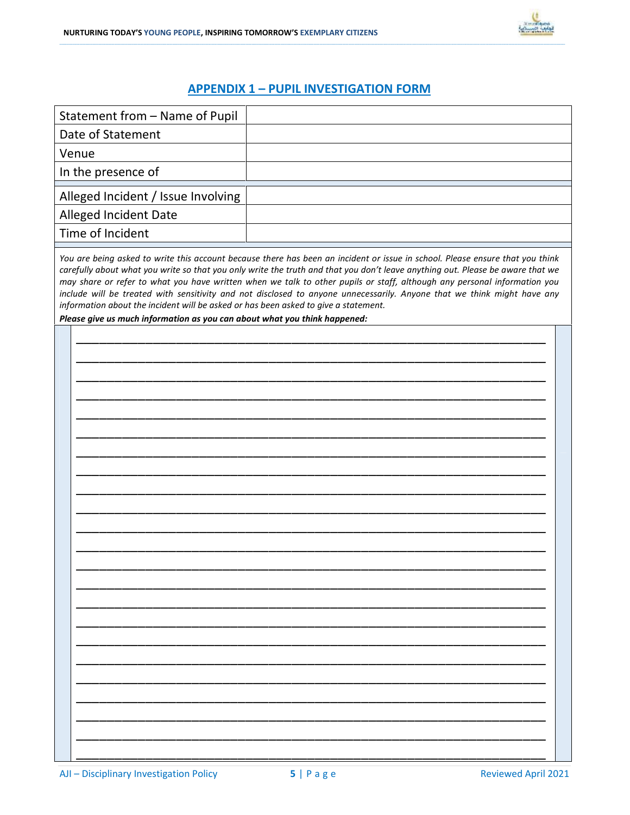

# APPENDIX 1 – PUPIL INVESTIGATION FORM

| Statement from - Name of Pupil                                                                                                                                                                                                                                                                                                                                                                                                                                                                                                                                                                                                                                                             |  |  |  |  |
|--------------------------------------------------------------------------------------------------------------------------------------------------------------------------------------------------------------------------------------------------------------------------------------------------------------------------------------------------------------------------------------------------------------------------------------------------------------------------------------------------------------------------------------------------------------------------------------------------------------------------------------------------------------------------------------------|--|--|--|--|
| Date of Statement                                                                                                                                                                                                                                                                                                                                                                                                                                                                                                                                                                                                                                                                          |  |  |  |  |
| Venue                                                                                                                                                                                                                                                                                                                                                                                                                                                                                                                                                                                                                                                                                      |  |  |  |  |
| In the presence of                                                                                                                                                                                                                                                                                                                                                                                                                                                                                                                                                                                                                                                                         |  |  |  |  |
| Alleged Incident / Issue Involving                                                                                                                                                                                                                                                                                                                                                                                                                                                                                                                                                                                                                                                         |  |  |  |  |
| Alleged Incident Date                                                                                                                                                                                                                                                                                                                                                                                                                                                                                                                                                                                                                                                                      |  |  |  |  |
| Time of Incident                                                                                                                                                                                                                                                                                                                                                                                                                                                                                                                                                                                                                                                                           |  |  |  |  |
| You are being asked to write this account because there has been an incident or issue in school. Please ensure that you think<br>carefully about what you write so that you only write the truth and that you don't leave anything out. Please be aware that we<br>may share or refer to what you have written when we talk to other pupils or staff, although any personal information you<br>include will be treated with sensitivity and not disclosed to anyone unnecessarily. Anyone that we think might have any<br>information about the incident will be asked or has been asked to give a statement.<br>Please give us much information as you can about what you think happened: |  |  |  |  |
|                                                                                                                                                                                                                                                                                                                                                                                                                                                                                                                                                                                                                                                                                            |  |  |  |  |
|                                                                                                                                                                                                                                                                                                                                                                                                                                                                                                                                                                                                                                                                                            |  |  |  |  |
|                                                                                                                                                                                                                                                                                                                                                                                                                                                                                                                                                                                                                                                                                            |  |  |  |  |
|                                                                                                                                                                                                                                                                                                                                                                                                                                                                                                                                                                                                                                                                                            |  |  |  |  |
|                                                                                                                                                                                                                                                                                                                                                                                                                                                                                                                                                                                                                                                                                            |  |  |  |  |
|                                                                                                                                                                                                                                                                                                                                                                                                                                                                                                                                                                                                                                                                                            |  |  |  |  |
|                                                                                                                                                                                                                                                                                                                                                                                                                                                                                                                                                                                                                                                                                            |  |  |  |  |
|                                                                                                                                                                                                                                                                                                                                                                                                                                                                                                                                                                                                                                                                                            |  |  |  |  |
|                                                                                                                                                                                                                                                                                                                                                                                                                                                                                                                                                                                                                                                                                            |  |  |  |  |
|                                                                                                                                                                                                                                                                                                                                                                                                                                                                                                                                                                                                                                                                                            |  |  |  |  |
|                                                                                                                                                                                                                                                                                                                                                                                                                                                                                                                                                                                                                                                                                            |  |  |  |  |
|                                                                                                                                                                                                                                                                                                                                                                                                                                                                                                                                                                                                                                                                                            |  |  |  |  |
|                                                                                                                                                                                                                                                                                                                                                                                                                                                                                                                                                                                                                                                                                            |  |  |  |  |
|                                                                                                                                                                                                                                                                                                                                                                                                                                                                                                                                                                                                                                                                                            |  |  |  |  |
|                                                                                                                                                                                                                                                                                                                                                                                                                                                                                                                                                                                                                                                                                            |  |  |  |  |
|                                                                                                                                                                                                                                                                                                                                                                                                                                                                                                                                                                                                                                                                                            |  |  |  |  |
|                                                                                                                                                                                                                                                                                                                                                                                                                                                                                                                                                                                                                                                                                            |  |  |  |  |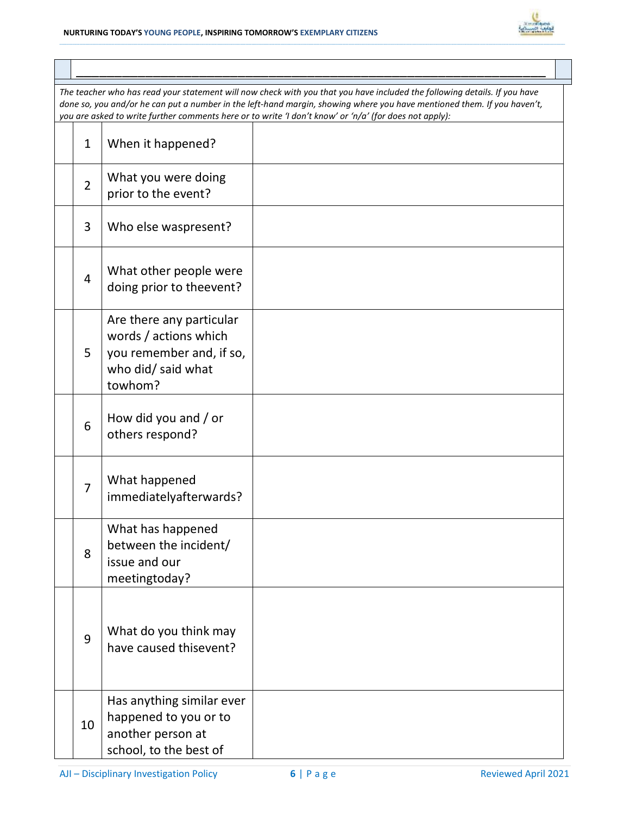

| The teacher who has read your statement will now check with you that you have included the following details. If you have<br>done so, you and/or he can put a number in the left-hand margin, showing where you have mentioned them. If you haven't,<br>you are asked to write further comments here or to write 'I don't know' or 'n/a' (for does not apply): |                                                                                                                |  |  |  |  |
|----------------------------------------------------------------------------------------------------------------------------------------------------------------------------------------------------------------------------------------------------------------------------------------------------------------------------------------------------------------|----------------------------------------------------------------------------------------------------------------|--|--|--|--|
| $\mathbf{1}$                                                                                                                                                                                                                                                                                                                                                   | When it happened?                                                                                              |  |  |  |  |
| $\overline{2}$                                                                                                                                                                                                                                                                                                                                                 | What you were doing<br>prior to the event?                                                                     |  |  |  |  |
| 3                                                                                                                                                                                                                                                                                                                                                              | Who else waspresent?                                                                                           |  |  |  |  |
| 4                                                                                                                                                                                                                                                                                                                                                              | What other people were<br>doing prior to theevent?                                                             |  |  |  |  |
| 5                                                                                                                                                                                                                                                                                                                                                              | Are there any particular<br>words / actions which<br>you remember and, if so,<br>who did/ said what<br>towhom? |  |  |  |  |
| 6                                                                                                                                                                                                                                                                                                                                                              | How did you and / or<br>others respond?                                                                        |  |  |  |  |
| $\overline{7}$                                                                                                                                                                                                                                                                                                                                                 | What happened<br>immediatelyafterwards?                                                                        |  |  |  |  |
| 8                                                                                                                                                                                                                                                                                                                                                              | What has happened<br>between the incident/<br>issue and our<br>meetingtoday?                                   |  |  |  |  |
| 9                                                                                                                                                                                                                                                                                                                                                              | What do you think may<br>have caused thisevent?                                                                |  |  |  |  |
| 10                                                                                                                                                                                                                                                                                                                                                             | Has anything similar ever<br>happened to you or to<br>another person at<br>school, to the best of              |  |  |  |  |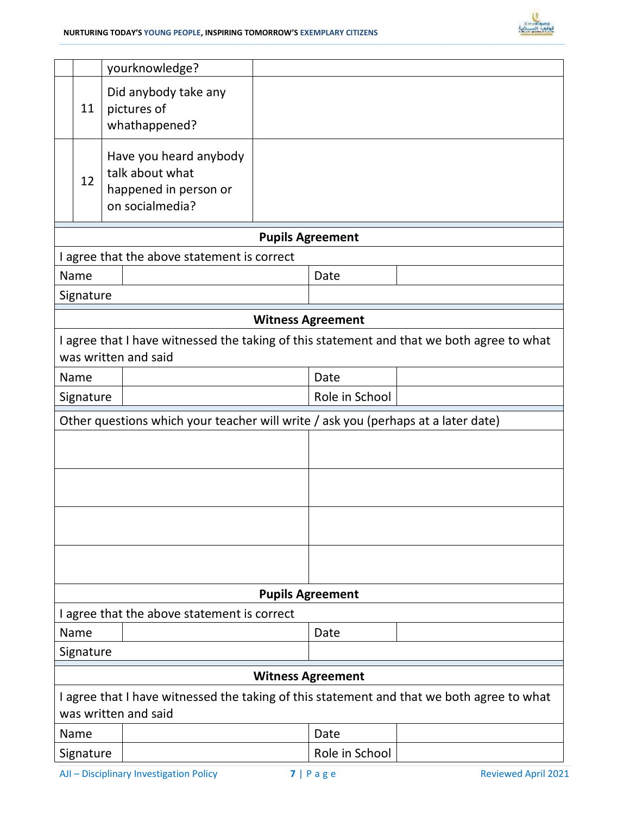

|                                                                                                                   |           |                | yourknowledge?                                                                        |  |                          |                                                                                           |
|-------------------------------------------------------------------------------------------------------------------|-----------|----------------|---------------------------------------------------------------------------------------|--|--------------------------|-------------------------------------------------------------------------------------------|
|                                                                                                                   | 11        |                | Did anybody take any<br>pictures of<br>whathappened?                                  |  |                          |                                                                                           |
|                                                                                                                   | 12        |                | Have you heard anybody<br>talk about what<br>happened in person or<br>on socialmedia? |  |                          |                                                                                           |
|                                                                                                                   |           |                |                                                                                       |  | <b>Pupils Agreement</b>  |                                                                                           |
|                                                                                                                   |           |                | I agree that the above statement is correct                                           |  |                          |                                                                                           |
|                                                                                                                   | Name      |                |                                                                                       |  | Date                     |                                                                                           |
|                                                                                                                   | Signature |                |                                                                                       |  |                          |                                                                                           |
|                                                                                                                   |           |                |                                                                                       |  | <b>Witness Agreement</b> |                                                                                           |
|                                                                                                                   |           |                | was written and said                                                                  |  |                          | I agree that I have witnessed the taking of this statement and that we both agree to what |
|                                                                                                                   | Name      |                |                                                                                       |  | Date                     |                                                                                           |
|                                                                                                                   | Signature |                |                                                                                       |  | Role in School           |                                                                                           |
| Other questions which your teacher will write / ask you (perhaps at a later date)                                 |           |                |                                                                                       |  |                          |                                                                                           |
|                                                                                                                   |           |                |                                                                                       |  |                          |                                                                                           |
|                                                                                                                   |           |                |                                                                                       |  |                          |                                                                                           |
|                                                                                                                   |           |                |                                                                                       |  |                          |                                                                                           |
|                                                                                                                   |           |                |                                                                                       |  |                          |                                                                                           |
|                                                                                                                   |           |                |                                                                                       |  | <b>Pupils Agreement</b>  |                                                                                           |
| I agree that the above statement is correct                                                                       |           |                |                                                                                       |  |                          |                                                                                           |
|                                                                                                                   | Name      |                |                                                                                       |  | Date                     |                                                                                           |
| Signature                                                                                                         |           |                |                                                                                       |  |                          |                                                                                           |
| <b>Witness Agreement</b>                                                                                          |           |                |                                                                                       |  |                          |                                                                                           |
| I agree that I have witnessed the taking of this statement and that we both agree to what<br>was written and said |           |                |                                                                                       |  |                          |                                                                                           |
|                                                                                                                   | Name      |                |                                                                                       |  | Date                     |                                                                                           |
| Signature                                                                                                         |           | Role in School |                                                                                       |  |                          |                                                                                           |